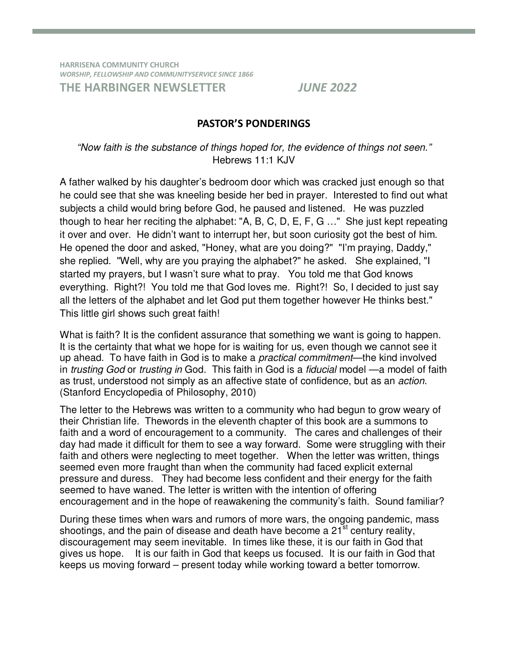**HARRISENA COMMUNITY CHURCH**  *WORSHIP, FELLOWSHIP AND COMMUNITYSERVICE SINCE 1866*  **THE HARBINGER NEWSLETTER** *JUNE 2022* 

#### **PASTOR'S PONDERINGS**

### "Now faith is the substance of things hoped for, the evidence of things not seen." Hebrews 11:1 KJV

A father walked by his daughter's bedroom door which was cracked just enough so that he could see that she was kneeling beside her bed in prayer. Interested to find out what subjects a child would bring before God, he paused and listened. He was puzzled though to hear her reciting the alphabet: "A, B, C, D, E, F, G …" She just kept repeating it over and over. He didn't want to interrupt her, but soon curiosity got the best of him. He opened the door and asked, "Honey, what are you doing?" "I'm praying, Daddy," she replied. "Well, why are you praying the alphabet?" he asked. She explained, "I started my prayers, but I wasn't sure what to pray. You told me that God knows everything. Right?! You told me that God loves me. Right?! So, I decided to just say all the letters of the alphabet and let God put them together however He thinks best." This little girl shows such great faith!

What is faith? It is the confident assurance that something we want is going to happen. It is the certainty that what we hope for is waiting for us, even though we cannot see it up ahead. To have faith in God is to make a practical commitment—the kind involved in *trusting God* or *trusting in* God. This faith in God is a *fiducial* model —a model of faith as trust, understood not simply as an affective state of confidence, but as an action. (Stanford Encyclopedia of Philosophy, 2010)

The letter to the Hebrews was written to a community who had begun to grow weary of their Christian life. Thewords in the eleventh chapter of this book are a summons to faith and a word of encouragement to a community. The cares and challenges of their day had made it difficult for them to see a way forward. Some were struggling with their faith and others were neglecting to meet together. When the letter was written, things seemed even more fraught than when the community had faced explicit external pressure and duress. They had become less confident and their energy for the faith seemed to have waned. The letter is written with the intention of offering encouragement and in the hope of reawakening the community's faith. Sound familiar?

During these times when wars and rumors of more wars, the ongoing pandemic, mass shootings, and the pain of disease and death have become a  $21<sup>st</sup>$  century reality, discouragement may seem inevitable. In times like these, it is our faith in God that gives us hope. It is our faith in God that keeps us focused. It is our faith in God that keeps us moving forward – present today while working toward a better tomorrow.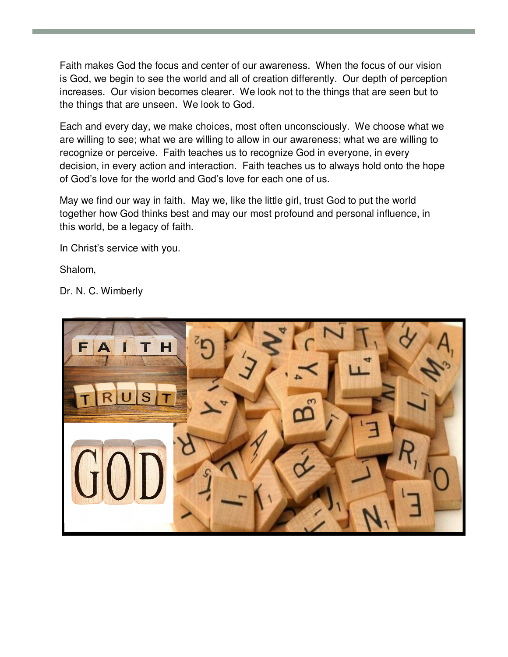Faith makes God the focus and center of our awareness. When the focus of our vision is God, we begin to see the world and all of creation differently. Our depth of perception increases. Our vision becomes clearer. We look not to the things that are seen but to the things that are unseen. We look to God.

Each and every day, we make choices, most often unconsciously. We choose what we are willing to see; what we are willing to allow in our awareness; what we are willing to recognize or perceive. Faith teaches us to recognize God in everyone, in every decision, in every action and interaction. Faith teaches us to always hold onto the hope of God's love for the world and God's love for each one of us.

May we find our way in faith. May we, like the little girl, trust God to put the world together how God thinks best and may our most profound and personal influence, in this world, be a legacy of faith.

In Christ's service with you.

Shalom,

Dr. N. C. Wimberly

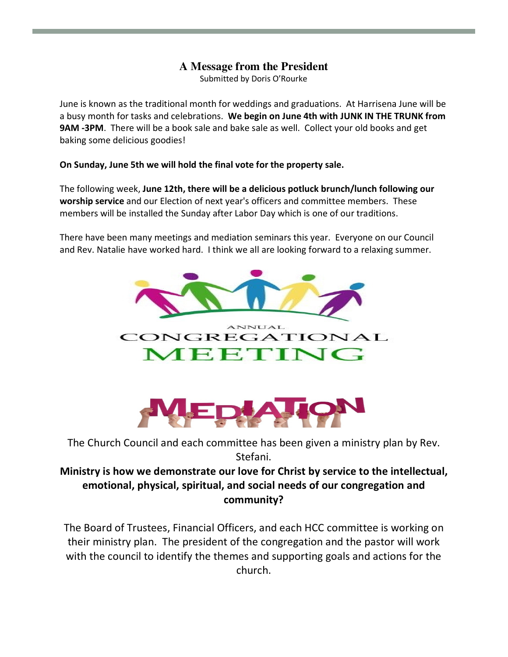## **A Message from the President**

Submitted by Doris O'Rourke

June is known as the traditional month for weddings and graduations. At Harrisena June will be a busy month for tasks and celebrations. **We begin on June 4th with JUNK IN THE TRUNK from 9AM -3PM**. There will be a book sale and bake sale as well. Collect your old books and get baking some delicious goodies!

#### **On Sunday, June 5th we will hold the final vote for the property sale.**

The following week, **June 12th, there will be a delicious potluck brunch/lunch following our worship service** and our Election of next year's officers and committee members. These members will be installed the Sunday after Labor Day which is one of our traditions.

There have been many meetings and mediation seminars this year. Everyone on our Council and Rev. Natalie have worked hard. I think we all are looking forward to a relaxing summer.





The Church Council and each committee has been given a ministry plan by Rev. Stefani.

## **Ministry is how we demonstrate our love for Christ by service to the intellectual, emotional, physical, spiritual, and social needs of our congregation and community?**

The Board of Trustees, Financial Officers, and each HCC committee is working on their ministry plan. The president of the congregation and the pastor will work with the council to identify the themes and supporting goals and actions for the church.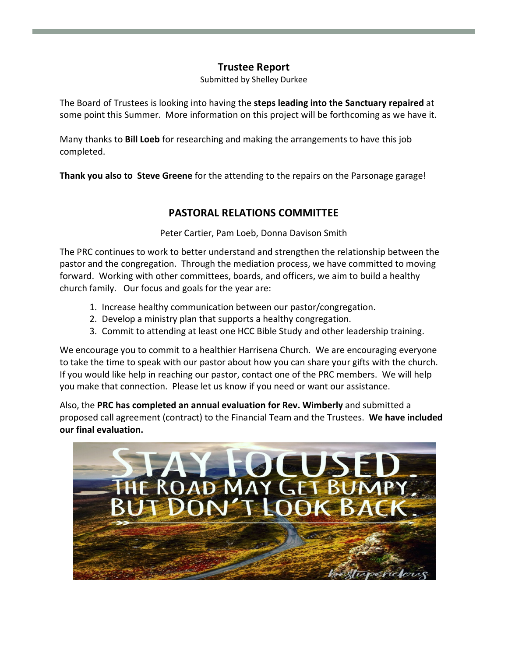### **Trustee Report**

Submitted by Shelley Durkee

The Board of Trustees is looking into having the **steps leading into the Sanctuary repaired** at some point this Summer. More information on this project will be forthcoming as we have it.

Many thanks to **Bill Loeb** for researching and making the arrangements to have this job completed.

**Thank you also to Steve Greene** for the attending to the repairs on the Parsonage garage!

### **PASTORAL RELATIONS COMMITTEE**

Peter Cartier, Pam Loeb, Donna Davison Smith

The PRC continues to work to better understand and strengthen the relationship between the pastor and the congregation. Through the mediation process, we have committed to moving forward. Working with other committees, boards, and officers, we aim to build a healthy church family. Our focus and goals for the year are:

- 1. Increase healthy communication between our pastor/congregation.
- 2. Develop a ministry plan that supports a healthy congregation.
- 3. Commit to attending at least one HCC Bible Study and other leadership training.

We encourage you to commit to a healthier Harrisena Church. We are encouraging everyone to take the time to speak with our pastor about how you can share your gifts with the church. If you would like help in reaching our pastor, contact one of the PRC members. We will help you make that connection. Please let us know if you need or want our assistance.

Also, the **PRC has completed an annual evaluation for Rev. Wimberly** and submitted a proposed call agreement (contract) to the Financial Team and the Trustees. **We have included our final evaluation.** 

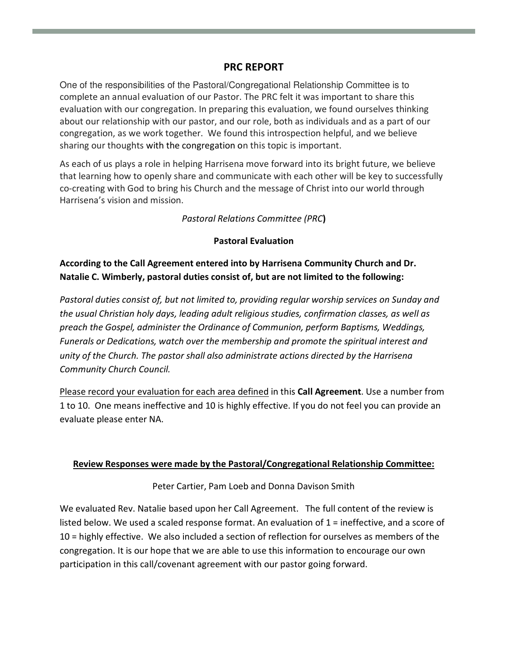#### **PRC REPORT**

One of the responsibilities of the Pastoral/Congregational Relationship Committee is to complete an annual evaluation of our Pastor. The PRC felt it was important to share this evaluation with our congregation. In preparing this evaluation, we found ourselves thinking about our relationship with our pastor, and our role, both as individuals and as a part of our congregation, as we work together. We found this introspection helpful, and we believe sharing our thoughts with the congregation on this topic is important.

As each of us plays a role in helping Harrisena move forward into its bright future, we believe that learning how to openly share and communicate with each other will be key to successfully co-creating with God to bring his Church and the message of Christ into our world through Harrisena's vision and mission.

*Pastoral Relations Committee (PRC***)** 

#### **Pastoral Evaluation**

**According to the Call Agreement entered into by Harrisena Community Church and Dr. Natalie C. Wimberly, pastoral duties consist of, but are not limited to the following:** 

*Pastoral duties consist of, but not limited to, providing regular worship services on Sunday and the usual Christian holy days, leading adult religious studies, confirmation classes, as well as preach the Gospel, administer the Ordinance of Communion, perform Baptisms, Weddings, Funerals or Dedications, watch over the membership and promote the spiritual interest and unity of the Church. The pastor shall also administrate actions directed by the Harrisena Community Church Council.* 

Please record your evaluation for each area defined in this **Call Agreement**. Use a number from 1 to 10. One means ineffective and 10 is highly effective. If you do not feel you can provide an evaluate please enter NA.

#### **Review Responses were made by the Pastoral/Congregational Relationship Committee:**

Peter Cartier, Pam Loeb and Donna Davison Smith

We evaluated Rev. Natalie based upon her Call Agreement. The full content of the review is listed below. We used a scaled response format. An evaluation of 1 = ineffective, and a score of 10 = highly effective. We also included a section of reflection for ourselves as members of the congregation. It is our hope that we are able to use this information to encourage our own participation in this call/covenant agreement with our pastor going forward.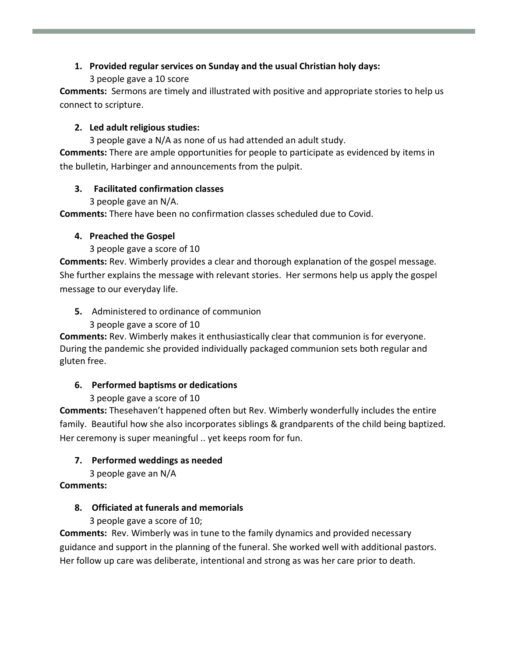### **1. Provided regular services on Sunday and the usual Christian holy days:**

#### 3 people gave a 10 score

**Comments:** Sermons are timely and illustrated with positive and appropriate stories to help us connect to scripture.

#### **2. Led adult religious studies:**

3 people gave a N/A as none of us had attended an adult study. **Comments:** There are ample opportunities for people to participate as evidenced by items in the bulletin, Harbinger and announcements from the pulpit.

### **3. Facilitated confirmation classes**

3 people gave an N/A.

**Comments:** There have been no confirmation classes scheduled due to Covid.

#### **4. Preached the Gospel**

3 people gave a score of 10

**Comments:** Rev. Wimberly provides a clear and thorough explanation of the gospel message. She further explains the message with relevant stories. Her sermons help us apply the gospel message to our everyday life.

**5.** Administered to ordinance of communion

3 people gave a score of 10

**Comments:** Rev. Wimberly makes it enthusiastically clear that communion is for everyone. During the pandemic she provided individually packaged communion sets both regular and gluten free.

### **6. Performed baptisms or dedications**

### 3 people gave a score of 10

**Comments:** Thesehaven't happened often but Rev. Wimberly wonderfully includes the entire family. Beautiful how she also incorporates siblings & grandparents of the child being baptized. Her ceremony is super meaningful .. yet keeps room for fun.

### **7. Performed weddings as needed**

3 people gave an N/A

### **Comments:**

### **8. Officiated at funerals and memorials**

3 people gave a score of 10;

**Comments:** Rev. Wimberly was in tune to the family dynamics and provided necessary guidance and support in the planning of the funeral. She worked well with additional pastors. Her follow up care was deliberate, intentional and strong as was her care prior to death.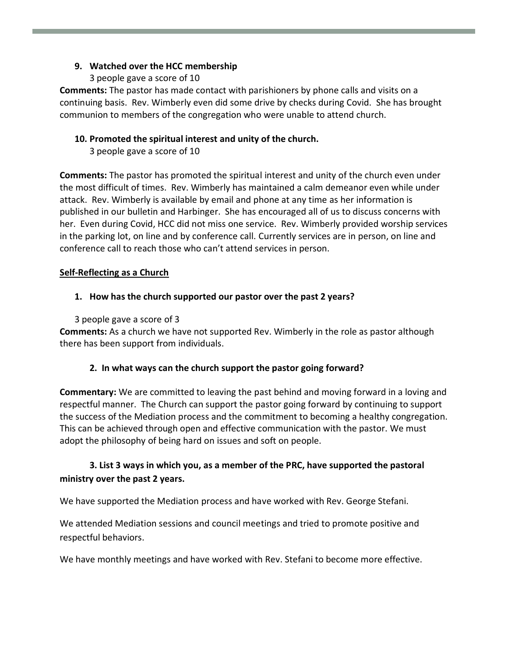#### **9. Watched over the HCC membership**

3 people gave a score of 10

**Comments:** The pastor has made contact with parishioners by phone calls and visits on a continuing basis. Rev. Wimberly even did some drive by checks during Covid. She has brought communion to members of the congregation who were unable to attend church.

#### **10. Promoted the spiritual interest and unity of the church.**

3 people gave a score of 10

**Comments:** The pastor has promoted the spiritual interest and unity of the church even under the most difficult of times. Rev. Wimberly has maintained a calm demeanor even while under attack. Rev. Wimberly is available by email and phone at any time as her information is published in our bulletin and Harbinger. She has encouraged all of us to discuss concerns with her. Even during Covid, HCC did not miss one service. Rev. Wimberly provided worship services in the parking lot, on line and by conference call. Currently services are in person, on line and conference call to reach those who can't attend services in person.

#### **Self-Reflecting as a Church**

#### **1. How has the church supported our pastor over the past 2 years?**

3 people gave a score of 3

**Comments:** As a church we have not supported Rev. Wimberly in the role as pastor although there has been support from individuals.

#### **2. In what ways can the church support the pastor going forward?**

**Commentary:** We are committed to leaving the past behind and moving forward in a loving and respectful manner. The Church can support the pastor going forward by continuing to support the success of the Mediation process and the commitment to becoming a healthy congregation. This can be achieved through open and effective communication with the pastor. We must adopt the philosophy of being hard on issues and soft on people.

### **3. List 3 ways in which you, as a member of the PRC, have supported the pastoral ministry over the past 2 years.**

We have supported the Mediation process and have worked with Rev. George Stefani.

We attended Mediation sessions and council meetings and tried to promote positive and respectful behaviors.

We have monthly meetings and have worked with Rev. Stefani to become more effective.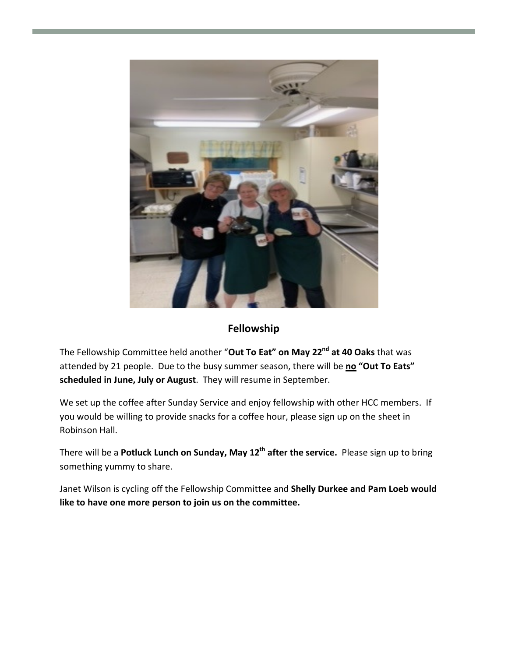

## **Fellowship**

The Fellowship Committee held another "**Out To Eat" on May 22nd at 40 Oaks** that was attended by 21 people. Due to the busy summer season, there will be **no "Out To Eats" scheduled in June, July or August**. They will resume in September.

We set up the coffee after Sunday Service and enjoy fellowship with other HCC members. If you would be willing to provide snacks for a coffee hour, please sign up on the sheet in Robinson Hall.

There will be a **Potluck Lunch on Sunday, May 12th after the service.** Please sign up to bring something yummy to share.

Janet Wilson is cycling off the Fellowship Committee and **Shelly Durkee and Pam Loeb would like to have one more person to join us on the committee.**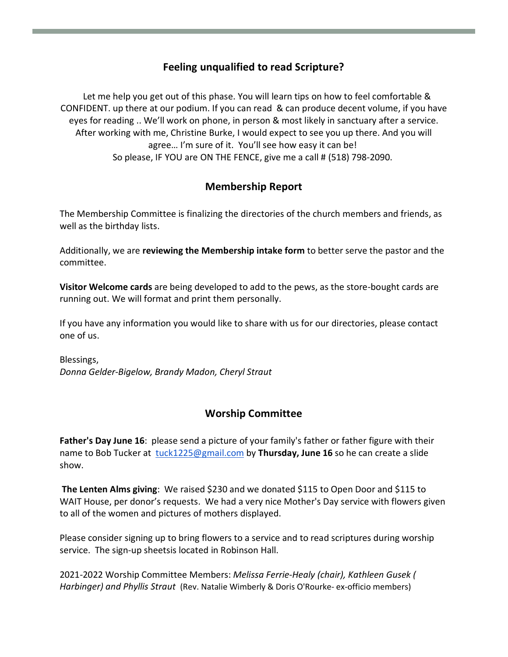## **Feeling unqualified to read Scripture?**

 Let me help you get out of this phase. You will learn tips on how to feel comfortable & CONFIDENT. up there at our podium. If you can read & can produce decent volume, if you have eyes for reading .. We'll work on phone, in person & most likely in sanctuary after a service. After working with me, Christine Burke, I would expect to see you up there. And you will agree… I'm sure of it. You'll see how easy it can be! So please, IF YOU are ON THE FENCE, give me a call # (518) 798-2090.

### **Membership Report**

The Membership Committee is finalizing the directories of the church members and friends, as well as the birthday lists.

Additionally, we are **reviewing the Membership intake form** to better serve the pastor and the committee.

**Visitor Welcome cards** are being developed to add to the pews, as the store-bought cards are running out. We will format and print them personally.

If you have any information you would like to share with us for our directories, please contact one of us.

Blessings, *Donna Gelder-Bigelow, Brandy Madon, Cheryl Straut* 

## **Worship Committee**

**Father's Day June 16**: please send a picture of your family's father or father figure with their name to Bob Tucker at tuck1225@gmail.com by **Thursday, June 16** so he can create a slide show.

**The Lenten Alms giving**: We raised \$230 and we donated \$115 to Open Door and \$115 to WAIT House, per donor's requests. We had a very nice Mother's Day service with flowers given to all of the women and pictures of mothers displayed.

Please consider signing up to bring flowers to a service and to read scriptures during worship service. The sign-up sheetsis located in Robinson Hall.

2021-2022 Worship Committee Members: *Melissa Ferrie-Healy (chair), Kathleen Gusek ( Harbinger) and Phyllis Straut* (Rev. Natalie Wimberly & Doris O'Rourke- ex-officio members)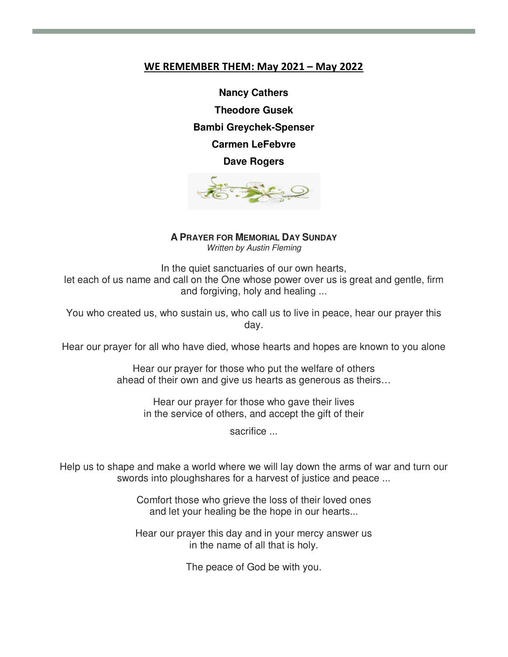#### **WE REMEMBER THEM: May 2021 – May 2022**

**Nancy Cathers Theodore Gusek Bambi Greychek-Spenser Carmen LeFebvre Dave Rogers** 



**A PRAYER FOR MEMORIAL DAY SUNDAY**

Written by Austin Fleming

In the quiet sanctuaries of our own hearts, let each of us name and call on the One whose power over us is great and gentle, firm and forgiving, holy and healing ...

You who created us, who sustain us, who call us to live in peace, hear our prayer this day.

Hear our prayer for all who have died, whose hearts and hopes are known to you alone

Hear our prayer for those who put the welfare of others ahead of their own and give us hearts as generous as theirs…

Hear our prayer for those who gave their lives in the service of others, and accept the gift of their

sacrifice ...

Help us to shape and make a world where we will lay down the arms of war and turn our swords into ploughshares for a harvest of justice and peace ...

> Comfort those who grieve the loss of their loved ones and let your healing be the hope in our hearts...

> Hear our prayer this day and in your mercy answer us in the name of all that is holy.

> > The peace of God be with you.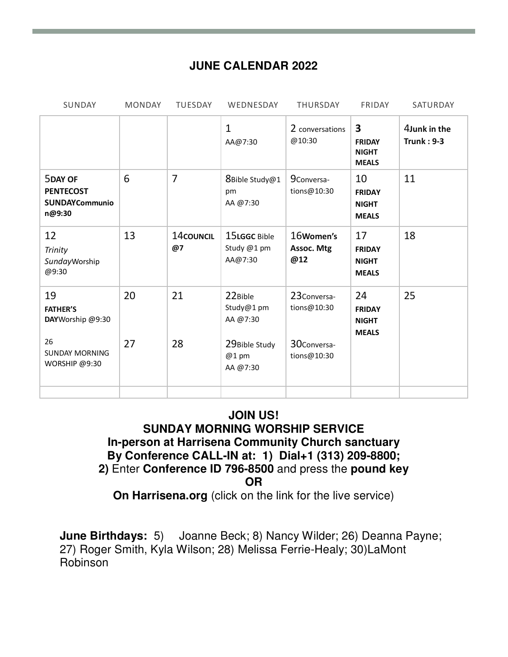# **JUNE CALENDAR 2022**

| SUNDAY                                                                | <b>MONDAY</b> | <b>TUESDAY</b>  | WEDNESDAY                              | <b>THURSDAY</b>                | FRIDAY                                                                   | SATURDAY                          |
|-----------------------------------------------------------------------|---------------|-----------------|----------------------------------------|--------------------------------|--------------------------------------------------------------------------|-----------------------------------|
|                                                                       |               |                 | $\mathbf{1}$<br>AA@7:30                | 2 conversations<br>@10:30      | $\overline{\mathbf{3}}$<br><b>FRIDAY</b><br><b>NIGHT</b><br><b>MEALS</b> | 4Junk in the<br><b>Trunk: 9-3</b> |
| <b>5DAY OF</b><br><b>PENTECOST</b><br><b>SUNDAYCommunio</b><br>n@9:30 | 6             | $\overline{7}$  | 8Bible Study@1<br>pm<br>AA @7:30       | 9Conversa-<br>tions@10:30      | 10<br><b>FRIDAY</b><br><b>NIGHT</b><br><b>MEALS</b>                      | 11                                |
| 12<br><b>Trinity</b><br>SundayWorship<br>@9:30                        | 13            | 14council<br>@7 | 15LGGC Bible<br>Study @1 pm<br>AA@7:30 | 16Women's<br>Assoc. Mtg<br>@12 | 17<br><b>FRIDAY</b><br><b>NIGHT</b><br><b>MEALS</b>                      | 18                                |
| 19<br><b>FATHER'S</b><br>DAYWorship @9:30                             | 20            | 21              | 22Bible<br>Study@1 pm<br>AA @7:30      | 23Conversa-<br>tions@10:30     | 24<br><b>FRIDAY</b><br><b>NIGHT</b><br><b>MEALS</b>                      | 25                                |
| 26<br><b>SUNDAY MORNING</b><br>WORSHIP @9:30                          | 27            | 28              | 29Bible Study<br>$@1$ pm<br>AA @7:30   | 30Conversa-<br>tions@10:30     |                                                                          |                                   |
|                                                                       |               |                 |                                        |                                |                                                                          |                                   |

# **JOIN US! SUNDAY MORNING WORSHIP SERVICE In-person at Harrisena Community Church sanctuary By Conference CALL-IN at: 1) Dial+1 (313) 209-8800; 2)** Enter **Conference ID 796-8500** and press the **pound key OR**

**On Harrisena.org** (click on the link for the live service)

**June Birthdays:** 5) Joanne Beck; 8) Nancy Wilder; 26) Deanna Payne; 27) Roger Smith, Kyla Wilson; 28) Melissa Ferrie-Healy; 30)LaMont Robinson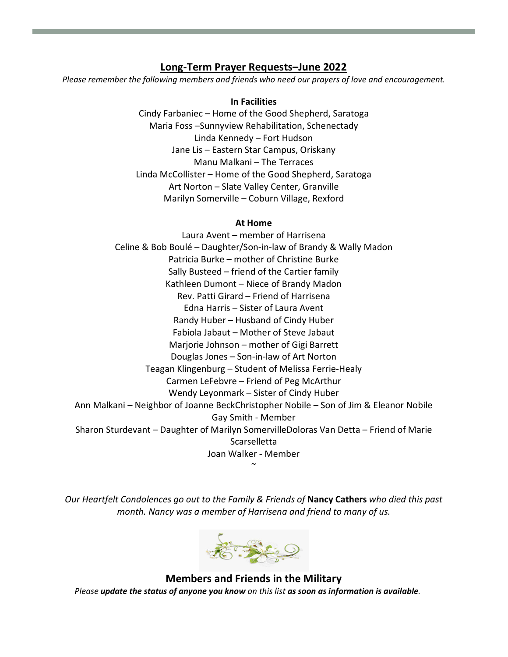#### **Long-Term Prayer Requests–June 2022**

*Please remember the following members and friends who need our prayers of love and encouragement.* 

#### **In Facilities**

Cindy Farbaniec – Home of the Good Shepherd, Saratoga Maria Foss –Sunnyview Rehabilitation, Schenectady Linda Kennedy – Fort Hudson Jane Lis – Eastern Star Campus, Oriskany Manu Malkani – The Terraces Linda McCollister – Home of the Good Shepherd, Saratoga Art Norton – Slate Valley Center, Granville Marilyn Somerville – Coburn Village, Rexford

#### **At Home**

Laura Avent – member of Harrisena Celine & Bob Boulé – Daughter/Son-in-law of Brandy & Wally Madon Patricia Burke – mother of Christine Burke Sally Busteed – friend of the Cartier family Kathleen Dumont – Niece of Brandy Madon Rev. Patti Girard – Friend of Harrisena Edna Harris – Sister of Laura Avent Randy Huber – Husband of Cindy Huber Fabiola Jabaut – Mother of Steve Jabaut Marjorie Johnson – mother of Gigi Barrett Douglas Jones – Son-in-law of Art Norton Teagan Klingenburg – Student of Melissa Ferrie-Healy Carmen LeFebvre – Friend of Peg McArthur Wendy Leyonmark – Sister of Cindy Huber Ann Malkani – Neighbor of Joanne BeckChristopher Nobile – Son of Jim & Eleanor Nobile Gay Smith - Member Sharon Sturdevant – Daughter of Marilyn SomervilleDoloras Van Detta – Friend of Marie **Scarselletta** Joan Walker - Member  $\sim$ 

*Our Heartfelt Condolences go out to the Family & Friends of* **Nancy Cathers** *who died this past month. Nancy was a member of Harrisena and friend to many of us.* 



**Members and Friends in the Military** *Please update the status of anyone you know on this list as soon as information is available.*